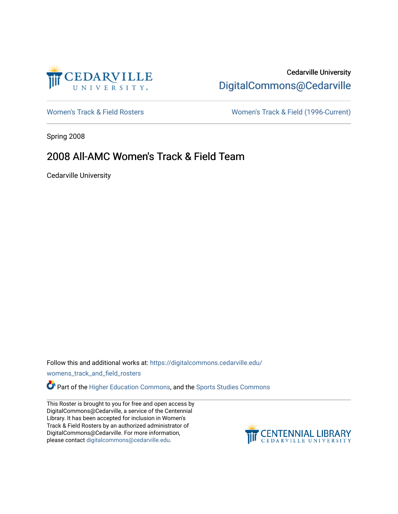

# Cedarville University [DigitalCommons@Cedarville](https://digitalcommons.cedarville.edu/)

[Women's Track & Field Rosters](https://digitalcommons.cedarville.edu/womens_track_and_field_rosters) Women's Track & Field (1996-Current)

Spring 2008

## 2008 All-AMC Women's Track & Field Team

Cedarville University

Follow this and additional works at: [https://digitalcommons.cedarville.edu/](https://digitalcommons.cedarville.edu/womens_track_and_field_rosters?utm_source=digitalcommons.cedarville.edu%2Fwomens_track_and_field_rosters%2F51&utm_medium=PDF&utm_campaign=PDFCoverPages)

[womens\\_track\\_and\\_field\\_rosters](https://digitalcommons.cedarville.edu/womens_track_and_field_rosters?utm_source=digitalcommons.cedarville.edu%2Fwomens_track_and_field_rosters%2F51&utm_medium=PDF&utm_campaign=PDFCoverPages) 

Part of the [Higher Education Commons,](http://network.bepress.com/hgg/discipline/1245?utm_source=digitalcommons.cedarville.edu%2Fwomens_track_and_field_rosters%2F51&utm_medium=PDF&utm_campaign=PDFCoverPages) and the [Sports Studies Commons](http://network.bepress.com/hgg/discipline/1198?utm_source=digitalcommons.cedarville.edu%2Fwomens_track_and_field_rosters%2F51&utm_medium=PDF&utm_campaign=PDFCoverPages) 

This Roster is brought to you for free and open access by DigitalCommons@Cedarville, a service of the Centennial Library. It has been accepted for inclusion in Women's Track & Field Rosters by an authorized administrator of DigitalCommons@Cedarville. For more information, please contact [digitalcommons@cedarville.edu](mailto:digitalcommons@cedarville.edu).